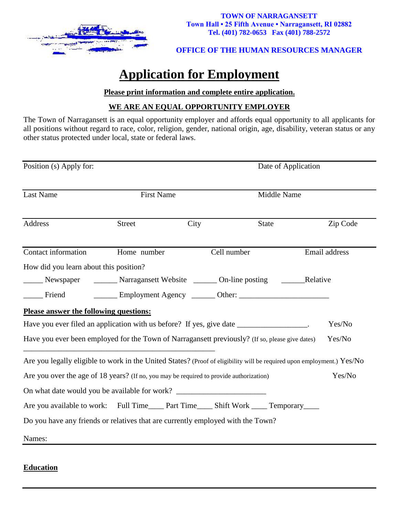

#### **TOWN OF NARRAGANSETT Town Hall • 25 Fifth Avenue • Narragansett, RI 02882 Tel. (401) 782-0653 Fax (401) 788-2572**

#### **OFFICE OF THE HUMAN RESOURCES MANAGER**

# **Application for Employment**

#### **Please print information and complete entire application.**

## **WE ARE AN EQUAL OPPORTUNITY EMPLOYER**

The Town of Narragansett is an equal opportunity employer and affords equal opportunity to all applicants for all positions without regard to race, color, religion, gender, national origin, age, disability, veteran status or any other status protected under local, state or federal laws.

| Position (s) Apply for:                                                                                                |                   | Date of Application |              |               |
|------------------------------------------------------------------------------------------------------------------------|-------------------|---------------------|--------------|---------------|
| <b>Last Name</b>                                                                                                       | <b>First Name</b> |                     | Middle Name  |               |
| Address                                                                                                                | <b>Street</b>     | City                | <b>State</b> | Zip Code      |
| Contact information                                                                                                    | Home number       | Cell number         |              | Email address |
| How did you learn about this position?                                                                                 |                   |                     |              |               |
| Newspaper Narragansett Website 100-line posting 1994 Relative                                                          |                   |                     |              |               |
| $\sqrt{1 + 2}$ Friend                                                                                                  |                   |                     |              |               |
| Please answer the following questions:                                                                                 |                   |                     |              |               |
| Have you ever filed an application with us before? If yes, give date _________________.                                |                   |                     |              | Yes/No        |
| Have you ever been employed for the Town of Narragansett previously? (If so, please give dates)                        |                   |                     |              | Yes/No        |
| Are you legally eligible to work in the United States? (Proof of eligibility will be required upon employment.) Yes/No |                   |                     |              |               |
| Are you over the age of 18 years? (If no, you may be required to provide authorization)                                |                   |                     |              | Yes/No        |
| On what date would you be available for work? __________________________________                                       |                   |                     |              |               |
| Are you available to work: Full Time____ Part Time____ Shift Work ____ Temporary____                                   |                   |                     |              |               |
| Do you have any friends or relatives that are currently employed with the Town?                                        |                   |                     |              |               |
| Names:                                                                                                                 |                   |                     |              |               |

## **Education**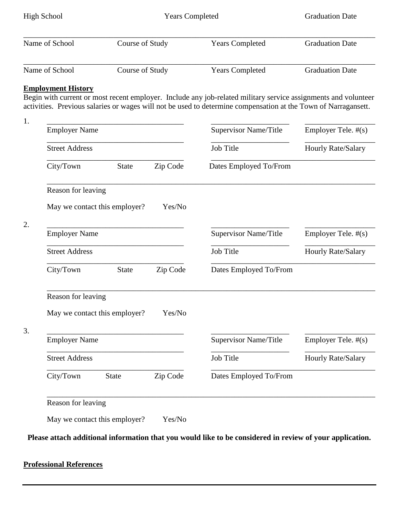| High School    | <b>Years Completed</b> |                        | <b>Graduation Date</b> |  |
|----------------|------------------------|------------------------|------------------------|--|
| Name of School | Course of Study        | <b>Years Completed</b> | <b>Graduation Date</b> |  |
| Name of School | Course of Study        | <b>Years Completed</b> | <b>Graduation Date</b> |  |

## **Employment History**

Begin with current or most recent employer. Include any job-related military service assignments and volunteer activities. Previous salaries or wages will not be used to determine compensation at the Town of Narragansett.

| Supervisor Name/Title        | Employer Tele. #(s)<br>Hourly Rate/Salary |  |
|------------------------------|-------------------------------------------|--|
| Job Title                    |                                           |  |
| Dates Employed To/From       |                                           |  |
|                              |                                           |  |
|                              |                                           |  |
| Supervisor Name/Title        | Employer Tele. #(s)                       |  |
| Job Title                    | Hourly Rate/Salary                        |  |
| Dates Employed To/From       |                                           |  |
|                              |                                           |  |
|                              |                                           |  |
| <b>Supervisor Name/Title</b> | Employer Tele. #(s)                       |  |
| Job Title                    | Hourly Rate/Salary                        |  |
|                              | Dates Employed To/From                    |  |
| Zip Code                     | Yes/No<br>Zip Code<br>Yes/No              |  |

**Please attach additional information that you would like to be considered in review of your application.**

#### **Professional References**